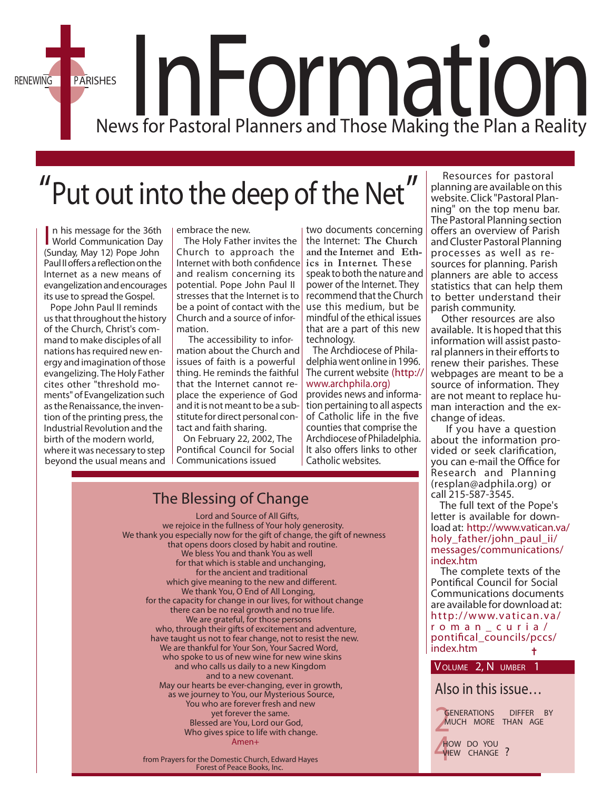RENEWING PARISHES<br>News for Pastoral Planners and Those Making the Plan a Reality

## Put out into the deep of the Net"

In his message for the 36th<br>World Communication Day n his message for the 36th (Sunday, May 12) Pope John Paul II offers a reflection on the Internet as a new means of evangelization and encourages its use to spread the Gospel.

 Pope John Paul II reminds us that throughout the history of the Church, Christ's command to make disciples of all nations has required new energy and imagination of those evangelizing. The Holy Father cites other "threshold moments" of Evangelization such as the Renaissance, the invention of the printing press, the Industrial Revolution and the birth of the modern world, where itwas necessary to step beyond the usual means and Communications issued

embrace the new.

 The Holy Father invites the Church to approach the  $Internet$  with both confidence and realism concerning its potential. Pope John Paul II stresses that the Internet is to be a point of contact with the Church and a source of information.

 The accessibility to information about the Church and issues of faith is a powerful thing. He reminds the faithful that the Internet cannot replace the experience of God and it is not meant to be a substitute for direct personal contact and faith sharing.

 On February 22, 2002, The Pontifical Council for Social two documents concerning the Internet: **The Church and the Internet** and **Ethics in Internet**. These speak to both the nature and power of the Internet. They recommend that the Church use this medium, but be mindful of the ethical issues that are a part of this new technology.

 The Archdiocese of Philadelphia went online in 1996. [The current website \(http://](http://www.archphila.org) www.archphila.org) provides news and information pertaining to all aspects of Catholic life in the five counties that comprise the Archdiocese of Philadelphia. It also offers links to other Catholic websites.

 Resources for pastoral planning are available on this website. Click "Pastoral Plan-<br>ning" on the top menu bar. The Pastoral Planning section offers an overview of Parish and Cluster Pastoral Planning processes as well as resources for planning. Parish planners are able to access statistics that can help them to better understand their

parish community. Other resources are also available. It is hoped that this information will assist pastoral planners in their efforts to renew their parishes. These webpages are meant to be a source of information. They are not meant to replace human interaction and the exchange of ideas.

 If you have a question about the information pro-<br>vided or seek clarification, you can e-mail the Office for Research and Planning (resplan@adphila.org) or call 215-587-3545.

 The full text of the Pope's letter is available for download at: http://www.vatican.va/ holy\_father/john\_paul\_ii/ [messages/communications/](http://www.vatican.va/holy_father/john_paul_ii/messages/communications/index.htm) index.htm.

 The complete texts of the Pontifical Council for Social Communications documents are available for download at: [http://www.vatican.va/](http://www.vatican.va/roman_curia/pontifical_councils/pccs/index.htm) roman\_curia / pontifical councils/pccs/ index.htm. ÷

**VOLUME 2, N UMBER 1**

*Also in this issue…*

*2* **GENERATIONS DIFFER BY MUCH MORE THAN AGE**

*4* **HOW DO YOU VIEW CHANGE ?**

#### Lord and Source of All Gifts, we rejoice in the fullness of Your holy generosity. We thank you especially now for the gift of change, the gift of newness that opens doors closed by habit and routine. **The Blessing of Change**

We bless You and thank You as well for that which is stable and unchanging, for the ancient and traditional which give meaning to the new and different. We thank You, O End of All Longing, for the capacity for change in our lives, for without change there can be no real growth and no true life. We are grateful, for those persons who, through their gifts of excitement and adventure, have taught us not to fear change, not to resist the new. We are thankful for Your Son, Your Sacred Word, who spoke to us of new wine for new wine skins and who calls us daily to a new Kingdom and to a new covenant. May our hearts be ever-changing, ever in growth, as we journey to You, our Mysterious Source, You who are forever fresh and new yet forever the same. Blessed are You, Lord our God, Who gives spice to life with change. Amen+

**from Prayers for the Domestic Church, Edward Hayes Forest of Peace Books, Inc.**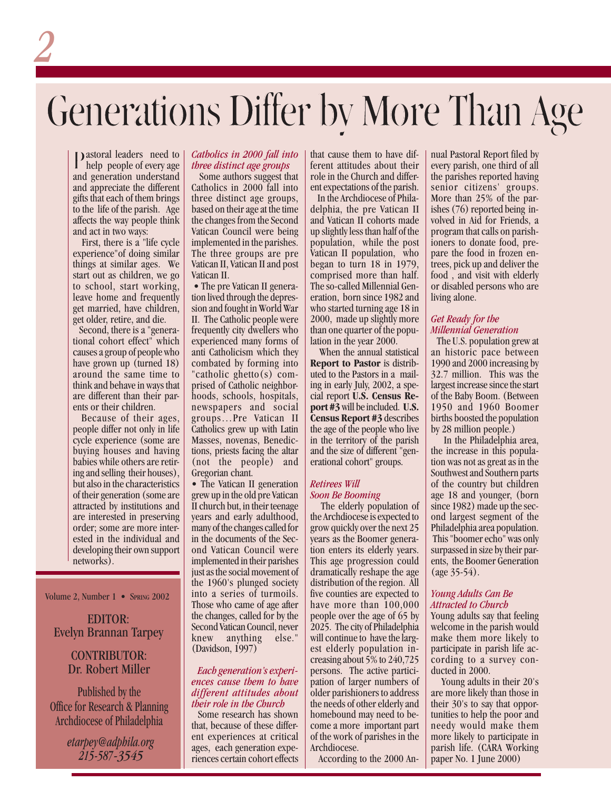# Generations Differ by More Than Age

Pastoral leaders need to help people of every age and generation understand and appreciate the different gifts that each of them brings to the life of the parish. Age affects the way people think and act in two ways:

*2*

 First, there is a "life cycle experience"of doing similar things at similar ages. We start out as children, we go to school, start working, leave home and frequently get married, have children, get older, retire, and die.

 Second, there is a "generational cohort effect" which causes a group of people who have grown up (turned 18) around the same time to think and behave in ways that are different than their parents or their children.

 Because of their ages, people differ not only in life cycle experience (some are buying houses and having babies while others are retiring and selling their houses), but also in the characteristics of their generation (some are attracted by institutions and are interested in preserving order; some are more interested in the individual and developing their own support networks).

Volume 2, Number 1 • SPRING 2002

#### EDITOR: Evelyn Brannan Tarpey

#### CONTRIBUTOR: Dr. Robert Miller

Published by the Office for Research & Planning Archdiocese of Philadelphia

> *etarpey@adphila.org 215-587-3545*

#### *Catholics in 2000 fall into three distinct age groups*

 Some authors suggest that Catholics in 2000 fall into three distinct age groups, based on their age at the time the changes from the Second Vatican Council were being implemented in the parishes. The three groups are pre Vatican II, Vatican II and post Vatican II.

• The pre Vatican II generation lived through the depression and fought in World War II. The Catholic people were frequently city dwellers who experienced many forms of anti Catholicism which they combated by forming into "catholic ghetto(s) comprised of Catholic neighborhoods, schools, hospitals, newspapers and social groups…Pre Vatican II Catholics grew up with Latin Masses, novenas, Benedictions, priests facing the altar (not the people) and Gregorian chant.

• The Vatican II generation grew up in the old pre Vatican II church but, in their teenage years and early adulthood, many of the changes called for in the documents of the Second Vatican Council were implemented in their parishes just as the social movement of the 1960's plunged society into a series of turmoils. Those who came of age after the changes, called for by the Second Vatican Council, never knew anything else." (Davidson, 1997)

#### *Each generation's experiences cause them to have different attitudes about their role in the Church*

 Some research has shown that, because of these different experiences at critical ages, each generation experiences certain cohort effects that cause them to have different attitudes about their role in the Church and different expectations of the parish.

 In the Archdiocese of Philadelphia, the pre Vatican II and Vatican II cohorts made up slightly less than half of the population, while the post Vatican II population, who began to turn 18 in 1979, comprised more than half. The so-called Millennial Generation, born since 1982 and who started turning age 18 in 2000, made up slightly more than one quarter of the population in the year 2000.

 When the annual statistical **Report to Pastor** is distributed to the Pastors in a mailing in early July, 2002, a special report **U.S. Census Report #3** will be included. **U.S. Census Report #3** describes the age of the people who live in the territory of the parish and the size of different "generational cohort" groups.

#### *Retirees Will Soon Be Booming*

 The elderly population of the Archdiocese is expected to grow quickly over the next 25 years as the Boomer generation enters its elderly years. This age progression could dramatically reshape the age distribution of the region. All five counties are expected to have more than  $100,000$ people over the age of 65 by 2025. The city of Philadelphia will continue to have the largest elderly population increasing about 5% to 240,725 persons. The active participation of larger numbers of older parishioners to address the needs of other elderly and homebound may need to become a more important part of the work of parishes in the Archdiocese.

According to the 2000 An-

nual Pastoral Report filed by every parish, one third of all the parishes reported having senior citizens' groups. More than 25% of the parishes (76) reported being involved in Aid for Friends, a program that calls on parishioners to donate food, prepare the food in frozen entrees, pick up and deliver the food , and visit with elderly or disabled persons who are living alone.

#### *Get Ready for the Millennial Generation*

 The U.S. population grew at an historic pace between 1990 and 2000 increasing by 32.7 million. This was the largest increase since the start of the Baby Boom. (Between 1950 and 1960 Boomer births boosted the population by 28 million people.)

 In the Philadelphia area, the increase in this population was not as great as in the Southwest and Southern parts of the country but children age 18 and younger, (born since 1982) made up the second largest segment of the Philadelphia area population. This "boomer echo" was only surpassed in size by their parents, the Boomer Generation (age 35-54).

#### *Young Adults Can Be Attracted to Church*

Young adults say that feeling welcome in the parish would make them more likely to participate in parish life according to a survey conducted in 2000.

 Young adults in their 20's are more likely than those in their 30's to say that opportunities to help the poor and needy would make them more likely to participate in parish life. (CARA Working paper No. 1 June 2000)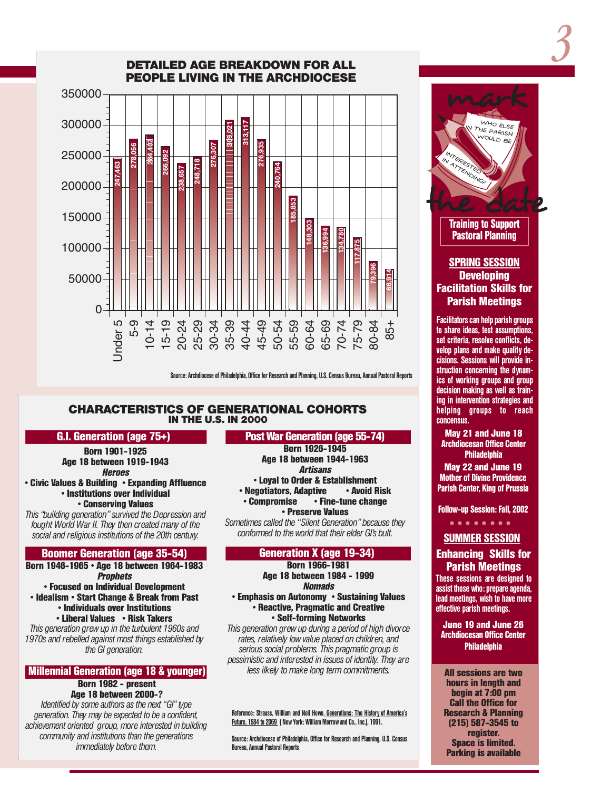INTERESTED IN ATTENDING?



**DETAILED AGE BREAKDOWN FOR ALL**

Source: Archdiocese of Philadelphia, Office for Research and Planning, U.S. Census Bureau, Annual Pastoral Reports

#### **CHARACTERISTICS OF GENERATIONAL COHORTS IN THE U.S. IN 2000**

#### **G.I. Generation (age 75+))**

**Born 1901-1925 Age 18 between 1919-1943 Heroes**

**• Civic Values & Building • Expanding Affluence • Institutions over Individual • Conserving Values**

*This "building generation" survived the Depression and fought World War II. They then created many of the social and religious institutions of the 20th century.*

#### **Boomer Generation (age 35-54)**

**Born 1946-1965 • Age 18 between 1964-1983 Prophets**

**• Focused on Individual Development • Idealism • Start Change & Break from Past • Individuals over Institutions**

**• Liberal Values • Risk Takers**

*This generation grew up in the turbulent 1960s and 1970s and rebelled against most things established by the GI generation.*

#### **Millennial Generation (age 18 & younger)**

#### **Born 1982 - present Age 18 between 2000-?**

*Identified by some authors as the next "GI" type generation. They may be expected to be a confident, achievement oriented group, more interested in building community and institutions than the generations immediately before them.*

#### **Post War Generation (age 55-74)**

**Born 1926-1945 Age 18 between 1944-1963 Artisans • Loyal to Order & Establishment • Negotiators, Adaptive • Compromise • Firm • Fine-tune change** 

**• Preserve Values** *Sometimes called the "Silent Generation" because they conformed to the world that their elder GI's bult.*

#### **Generation X (age 19-34))**

**Born 1966-1981 Age 18 between 1984 - 1999 Nomads**

**• Emphasis on Autonomy • Sustaining Values • Reactive, Pragmatic and Creative • Self-forming Networks**

*This generation grew up during a period of high divorce rates, relatively low value placed on children, and serious social problems. This pragmatic group is pessimistic and interested in issues of identity. They are less ilkely to make long term commitments.*

Reference: Strauss, William and Neil Howe. Generations: The History of America's Future, 1584 to 2069 ( New York: William Morrow and Co., Inc.), 1991.

Source: Archdiocese of Philadelphia, Office for Research and Planning, U.S. Census Bureau, Annual Pastoral Reports

the date **Training to Support**

*3*

**Pastoral Planning**

#### **SPRING SESSION Developing Facilitation Skills for Parish Meetings**

Facilitators can help parish groups to share ideas, test assumptions, set criteria, resolve conflicts, develop plans and make quality decisions. Sessions will provide instruction concerning the dynamics of working groups and group decision making as well as training in intervention strategies and helping groups to reach concensus.

**May 21 and June 18 Archdiocesan Office Center Philadelphia**

**May 22 and June 19 Mother of Divine Providence Parish Center, King of Prussia**

**Follow-up Session: Fall, 2002**

○○○○○○○○

#### **SUMMER SESSION**

#### **Enhancing Skills for Parish Meetings**

These sessions are designed to assist those who: prepare agenda, lead meetings, wish to have more effective parish meetings.

**June 19 and June 26 Archdiocesan Office Center Philadelphia**

✝ **All sessions are two hours in length and begin at 7:00 pm Call the Office for Research & Planning (215) 587-3545 to register. Space is limited. Parking is available**